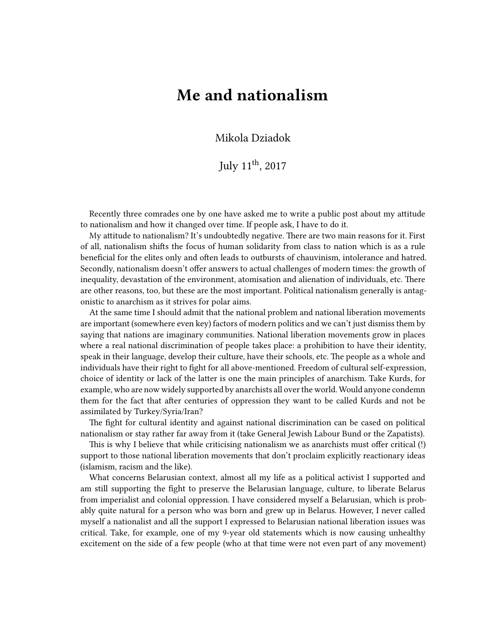## **Me and nationalism**

Mikola Dziadok

July  $11^{\text{th}}$ , 2017

Recently three comrades one by one have asked me to write a public post about my attitude to nationalism and how it changed over time. If people ask, I have to do it.

My attitude to nationalism? It's undoubtedly negative. There are two main reasons for it. First of all, nationalism shifts the focus of human solidarity from class to nation which is as a rule beneficial for the elites only and often leads to outbursts of chauvinism, intolerance and hatred. Secondly, nationalism doesn't offer answers to actual challenges of modern times: the growth of inequality, devastation of the environment, atomisation and alienation of individuals, etc. There are other reasons, too, but these are the most important. Political nationalism generally is antagonistic to anarchism as it strives for polar aims.

At the same time I should admit that the national problem and national liberation movements are important (somewhere even key) factors of modern politics and we can't just dismiss them by saying that nations are imaginary communities. National liberation movements grow in places where a real national discrimination of people takes place: a prohibition to have their identity, speak in their language, develop their culture, have their schools, etc. The people as a whole and individuals have their right to fight for all above-mentioned. Freedom of cultural self-expression, choice of identity or lack of the latter is one the main principles of anarchism. Take Kurds, for example, who are now widely supported by anarchists all over the world. Would anyone condemn them for the fact that after centuries of oppression they want to be called Kurds and not be assimilated by Turkey/Syria/Iran?

The fight for cultural identity and against national discrimination can be cased on political nationalism or stay rather far away from it (take General Jewish Labour Bund or the Zapatists).

This is why I believe that while criticising nationalism we as anarchists must offer critical (!) support to those national liberation movements that don't proclaim explicitly reactionary ideas (islamism, racism and the like).

What concerns Belarusian context, almost all my life as a political activist I supported and am still supporting the fight to preserve the Belarusian language, culture, to liberate Belarus from imperialist and colonial oppression. I have considered myself a Belarusian, which is probably quite natural for a person who was born and grew up in Belarus. However, I never called myself a nationalist and all the support I expressed to Belarusian national liberation issues was critical. Take, for example, one of my 9-year old statements which is now causing unhealthy excitement on the side of a few people (who at that time were not even part of any movement)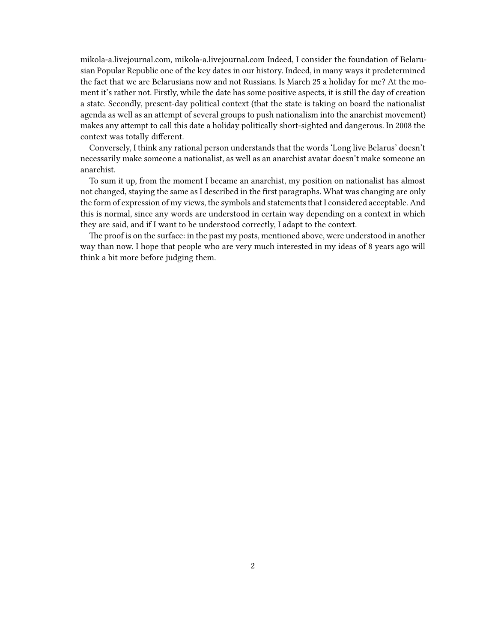[mikola-a.livejournal.com](http://mikola-a.livejournal.com/125146.html), [mikola-a.livejournal.com](http://mikola-a.livejournal.com/122368.html) Indeed, I consider the foundation of Belarusian Popular Republic one of the key dates in our history. Indeed, in many ways it predetermined the fact that we are Belarusians now and not Russians. Is March 25 a holiday for me? At the moment it's rather not. Firstly, while the date has some positive aspects, it is still the day of creation a state. Secondly, present-day political context (that the state is taking on board the nationalist agenda as well as an attempt of several groups to push nationalism into the anarchist movement) makes any attempt to call this date a holiday politically short-sighted and dangerous. In 2008 the context was totally different.

Conversely, I think any rational person understands that the words 'Long live Belarus' doesn't necessarily make someone a nationalist, as well as an anarchist avatar doesn't make someone an anarchist.

To sum it up, from the moment I became an anarchist, my position on nationalist has almost not changed, staying the same as I described in the first paragraphs. What was changing are only the form of expression of my views, the symbols and statements that I considered acceptable. And this is normal, since any words are understood in certain way depending on a context in which they are said, and if I want to be understood correctly, I adapt to the context.

The proof is on the surface: in the past my posts, mentioned above, were understood in another way than now. I hope that people who are very much interested in my ideas of 8 years ago will think a bit more before judging them.